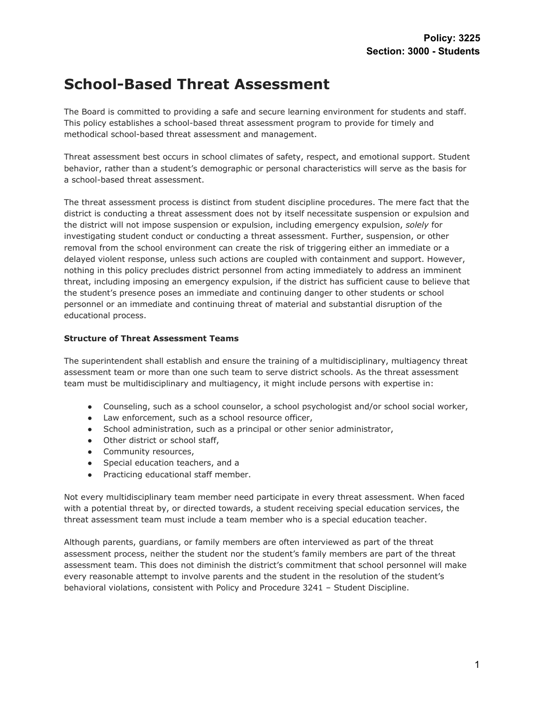# **School-Based Threat Assessment**

The Board is committed to providing a safe and secure learning environment for students and staff. This policy establishes a school-based threat assessment program to provide for timely and methodical school-based threat assessment and management.

Threat assessment best occurs in school climates of safety, respect, and emotional support. Student behavior, rather than a student's demographic or personal characteristics will serve as the basis for a school-based threat assessment.

The threat assessment process is distinct from student discipline procedures. The mere fact that the district is conducting a threat assessment does not by itself necessitate suspension or expulsion and the district will not impose suspension or expulsion, including emergency expulsion, *solely* for investigating student conduct or conducting a threat assessment. Further, suspension, or other removal from the school environment can create the risk of triggering either an immediate or a delayed violent response, unless such actions are coupled with containment and support. However, nothing in this policy precludes district personnel from acting immediately to address an imminent threat, including imposing an emergency expulsion, if the district has sufficient cause to believe that the student's presence poses an immediate and continuing danger to other students or school personnel or an immediate and continuing threat of material and substantial disruption of the educational process.

## **Structure of Threat Assessment Teams**

The superintendent shall establish and ensure the training of a multidisciplinary, multiagency threat assessment team or more than one such team to serve district schools. As the threat assessment team must be multidisciplinary and multiagency, it might include persons with expertise in:

- Counseling, such as a school counselor, a school psychologist and/or school social worker,
- Law enforcement, such as a school resource officer,
- School administration, such as a principal or other senior administrator,
- Other district or school staff,
- Community resources,
- Special education teachers, and a
- Practicing educational staff member.

Not every multidisciplinary team member need participate in every threat assessment. When faced with a potential threat by, or directed towards, a student receiving special education services, the threat assessment team must include a team member who is a special education teacher.

Although parents, guardians, or family members are often interviewed as part of the threat assessment process, neither the student nor the student's family members are part of the threat assessment team. This does not diminish the district's commitment that school personnel will make every reasonable attempt to involve parents and the student in the resolution of the student's behavioral violations, consistent with Policy and Procedure 3241 – Student Discipline.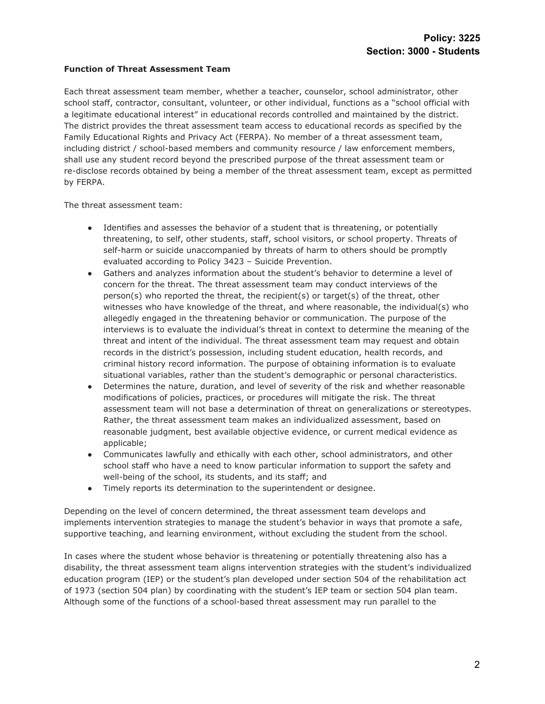### **Function of Threat Assessment Team**

Each threat assessment team member, whether a teacher, counselor, school administrator, other school staff, contractor, consultant, volunteer, or other individual, functions as a "school official with a legitimate educational interest" in educational records controlled and maintained by the district. The district provides the threat assessment team access to educational records as specified by the Family Educational Rights and Privacy Act (FERPA). No member of a threat assessment team, including district / school-based members and community resource / law enforcement members, shall use any student record beyond the prescribed purpose of the threat assessment team or re-disclose records obtained by being a member of the threat assessment team, except as permitted by FERPA.

The threat assessment team:

- Identifies and assesses the behavior of a student that is threatening, or potentially threatening, to self, other students, staff, school visitors, or school property. Threats of self-harm or suicide unaccompanied by threats of harm to others should be promptly evaluated according to Policy 3423 – Suicide Prevention.
- Gathers and analyzes information about the student's behavior to determine a level of concern for the threat. The threat assessment team may conduct interviews of the  $person(s)$  who reported the threat, the recipient(s) or target(s) of the threat, other witnesses who have knowledge of the threat, and where reasonable, the individual(s) who allegedly engaged in the threatening behavior or communication. The purpose of the interviews is to evaluate the individual's threat in context to determine the meaning of the threat and intent of the individual. The threat assessment team may request and obtain records in the district's possession, including student education, health records, and criminal history record information. The purpose of obtaining information is to evaluate situational variables, rather than the student's demographic or personal characteristics.
- Determines the nature, duration, and level of severity of the risk and whether reasonable modifications of policies, practices, or procedures will mitigate the risk. The threat assessment team will not base a determination of threat on generalizations or stereotypes. Rather, the threat assessment team makes an individualized assessment, based on reasonable judgment, best available objective evidence, or current medical evidence as applicable;
- Communicates lawfully and ethically with each other, school administrators, and other school staff who have a need to know particular information to support the safety and well-being of the school, its students, and its staff; and
- Timely reports its determination to the superintendent or designee.

Depending on the level of concern determined, the threat assessment team develops and implements intervention strategies to manage the student's behavior in ways that promote a safe, supportive teaching, and learning environment, without excluding the student from the school.

In cases where the student whose behavior is threatening or potentially threatening also has a disability, the threat assessment team aligns intervention strategies with the student's individualized education program (IEP) or the student's plan developed under section 504 of the rehabilitation act of 1973 (section 504 plan) by coordinating with the student's IEP team or section 504 plan team. Although some of the functions of a school-based threat assessment may run parallel to the